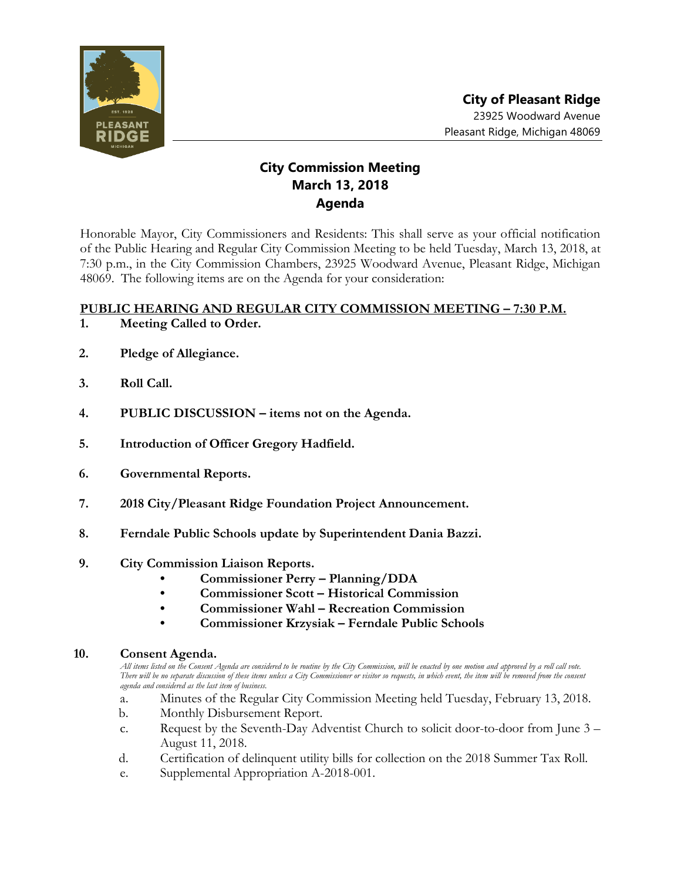

# **City Commission Meeting March 13, 2018 Agenda**

Honorable Mayor, City Commissioners and Residents: This shall serve as your official notification of the Public Hearing and Regular City Commission Meeting to be held Tuesday, March 13, 2018, at 7:30 p.m., in the City Commission Chambers, 23925 Woodward Avenue, Pleasant Ridge, Michigan 48069. The following items are on the Agenda for your consideration:

### **PUBLIC HEARING AND REGULAR CITY COMMISSION MEETING – 7:30 P.M.**

- **1. Meeting Called to Order.**
- **2. Pledge of Allegiance.**
- **3. Roll Call.**
- **4. PUBLIC DISCUSSION – items not on the Agenda.**
- **5. Introduction of Officer Gregory Hadfield.**
- **6. Governmental Reports.**
- **7. 2018 City/Pleasant Ridge Foundation Project Announcement.**
- **8. Ferndale Public Schools update by Superintendent Dania Bazzi.**
- **9. City Commission Liaison Reports.**
	- **• Commissioner Perry – Planning/DDA**
	- **• Commissioner Scott – Historical Commission**
	- **• Commissioner Wahl – Recreation Commission**
	- **• Commissioner Krzysiak – Ferndale Public Schools**

#### **10. Consent Agenda.**

*All items listed on the Consent Agenda are considered to be routine by the City Commission, will be enacted by one motion and approved by a roll call vote. There will be no separate discussion of these items unless a City Commissioner or visitor so requests, in which event, the item will be removed from the consent agenda and considered as the last item of business.*

- a. Minutes of the Regular City Commission Meeting held Tuesday, February 13, 2018.
- b. Monthly Disbursement Report.
- c. Request by the Seventh-Day Adventist Church to solicit door-to-door from June 3 August 11, 2018.
- d. Certification of delinquent utility bills for collection on the 2018 Summer Tax Roll.
- e. Supplemental Appropriation A-2018-001.